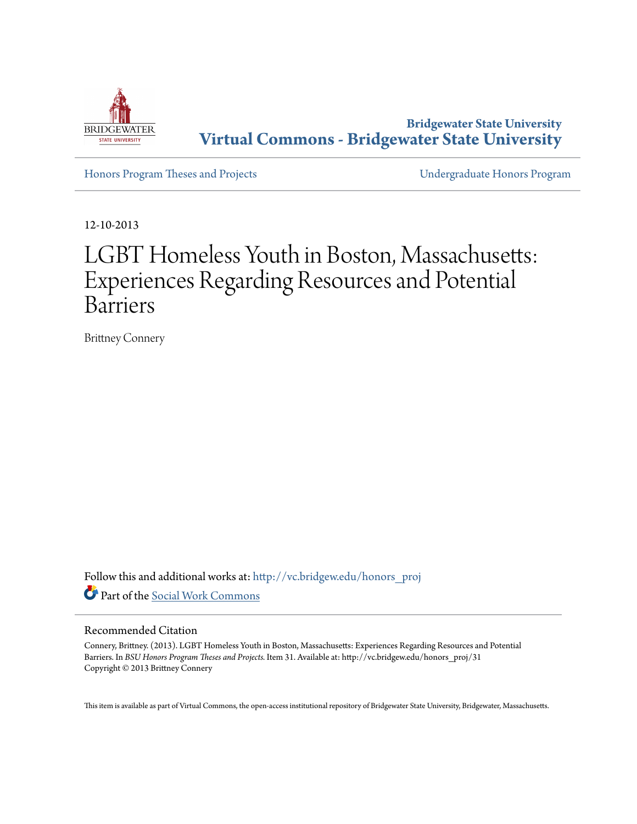

**Bridgewater State University [Virtual Commons - Bridgewater State University](http://vc.bridgew.edu?utm_source=vc.bridgew.edu%2Fhonors_proj%2F31&utm_medium=PDF&utm_campaign=PDFCoverPages)**

[Honors Program Theses and Projects](http://vc.bridgew.edu/honors_proj?utm_source=vc.bridgew.edu%2Fhonors_proj%2F31&utm_medium=PDF&utm_campaign=PDFCoverPages) [Undergraduate Honors Program](http://vc.bridgew.edu/honors?utm_source=vc.bridgew.edu%2Fhonors_proj%2F31&utm_medium=PDF&utm_campaign=PDFCoverPages)

12-10-2013

# LGBT Homeless Youth in Boston, Massachusetts: Experiences Regarding Resources and Potential Barriers

Brittney Connery

Follow this and additional works at: [http://vc.bridgew.edu/honors\\_proj](http://vc.bridgew.edu/honors_proj?utm_source=vc.bridgew.edu%2Fhonors_proj%2F31&utm_medium=PDF&utm_campaign=PDFCoverPages) Part of the [Social Work Commons](http://network.bepress.com/hgg/discipline/713?utm_source=vc.bridgew.edu%2Fhonors_proj%2F31&utm_medium=PDF&utm_campaign=PDFCoverPages)

#### Recommended Citation

Connery, Brittney. (2013). LGBT Homeless Youth in Boston, Massachusetts: Experiences Regarding Resources and Potential Barriers. In *BSU Honors Program Theses and Projects.* Item 31. Available at: http://vc.bridgew.edu/honors\_proj/31 Copyright © 2013 Brittney Connery

This item is available as part of Virtual Commons, the open-access institutional repository of Bridgewater State University, Bridgewater, Massachusetts.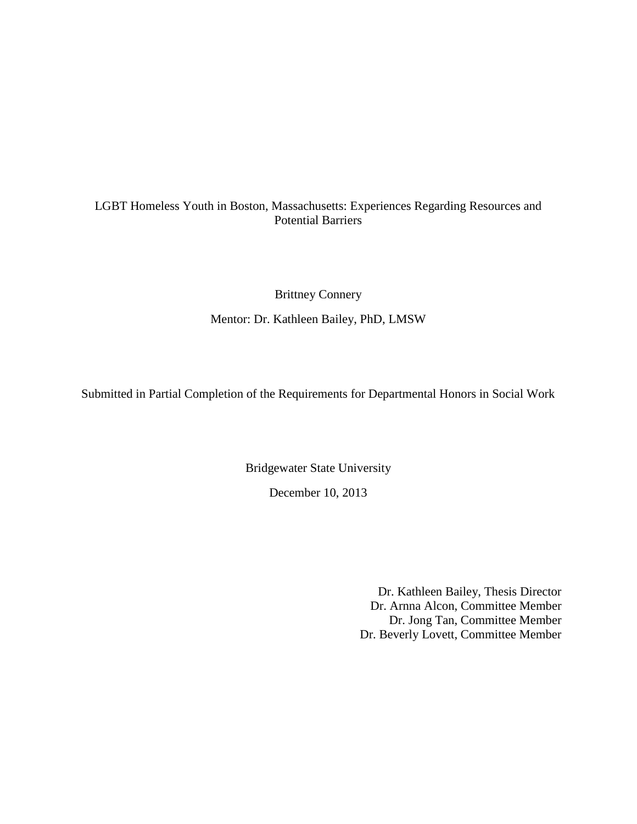# LGBT Homeless Youth in Boston, Massachusetts: Experiences Regarding Resources and Potential Barriers

Brittney Connery

Mentor: Dr. Kathleen Bailey, PhD, LMSW

Submitted in Partial Completion of the Requirements for Departmental Honors in Social Work

Bridgewater State University

December 10, 2013

Dr. Kathleen Bailey, Thesis Director Dr. Arnna Alcon, Committee Member Dr. Jong Tan, Committee Member Dr. Beverly Lovett, Committee Member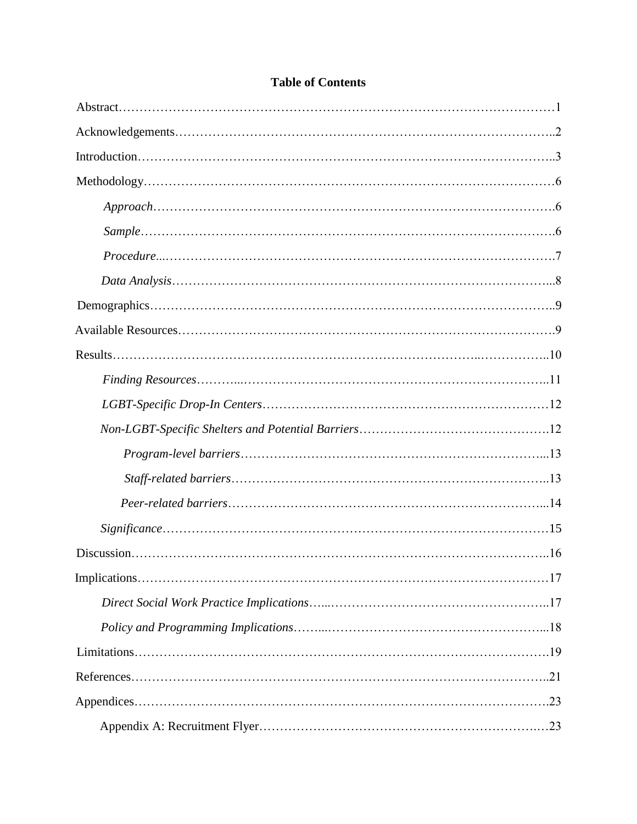# **Table of Contents**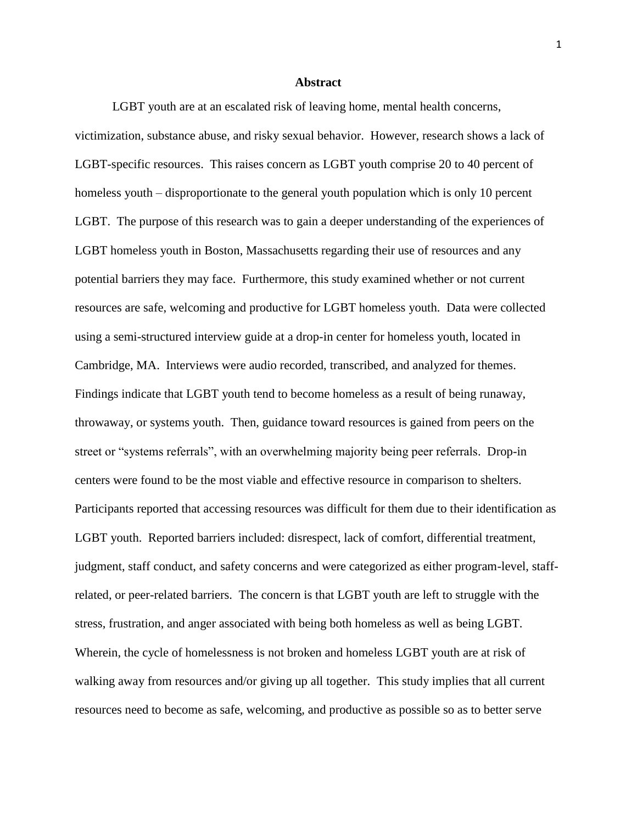#### **Abstract**

LGBT youth are at an escalated risk of leaving home, mental health concerns, victimization, substance abuse, and risky sexual behavior. However, research shows a lack of LGBT-specific resources. This raises concern as LGBT youth comprise 20 to 40 percent of homeless youth – disproportionate to the general youth population which is only 10 percent LGBT. The purpose of this research was to gain a deeper understanding of the experiences of LGBT homeless youth in Boston, Massachusetts regarding their use of resources and any potential barriers they may face. Furthermore, this study examined whether or not current resources are safe, welcoming and productive for LGBT homeless youth. Data were collected using a semi-structured interview guide at a drop-in center for homeless youth, located in Cambridge, MA. Interviews were audio recorded, transcribed, and analyzed for themes. Findings indicate that LGBT youth tend to become homeless as a result of being runaway, throwaway, or systems youth. Then, guidance toward resources is gained from peers on the street or "systems referrals", with an overwhelming majority being peer referrals. Drop-in centers were found to be the most viable and effective resource in comparison to shelters. Participants reported that accessing resources was difficult for them due to their identification as LGBT youth. Reported barriers included: disrespect, lack of comfort, differential treatment, judgment, staff conduct, and safety concerns and were categorized as either program-level, staffrelated, or peer-related barriers. The concern is that LGBT youth are left to struggle with the stress, frustration, and anger associated with being both homeless as well as being LGBT. Wherein, the cycle of homelessness is not broken and homeless LGBT youth are at risk of walking away from resources and/or giving up all together. This study implies that all current resources need to become as safe, welcoming, and productive as possible so as to better serve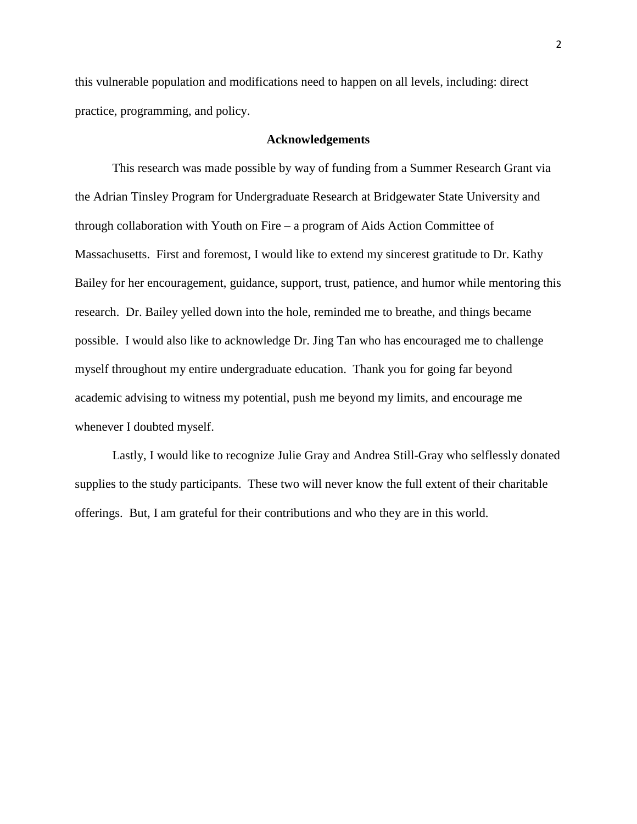this vulnerable population and modifications need to happen on all levels, including: direct practice, programming, and policy.

#### **Acknowledgements**

This research was made possible by way of funding from a Summer Research Grant via the Adrian Tinsley Program for Undergraduate Research at Bridgewater State University and through collaboration with Youth on Fire – a program of Aids Action Committee of Massachusetts. First and foremost, I would like to extend my sincerest gratitude to Dr. Kathy Bailey for her encouragement, guidance, support, trust, patience, and humor while mentoring this research. Dr. Bailey yelled down into the hole, reminded me to breathe, and things became possible. I would also like to acknowledge Dr. Jing Tan who has encouraged me to challenge myself throughout my entire undergraduate education. Thank you for going far beyond academic advising to witness my potential, push me beyond my limits, and encourage me whenever I doubted myself.

Lastly, I would like to recognize Julie Gray and Andrea Still-Gray who selflessly donated supplies to the study participants. These two will never know the full extent of their charitable offerings. But, I am grateful for their contributions and who they are in this world.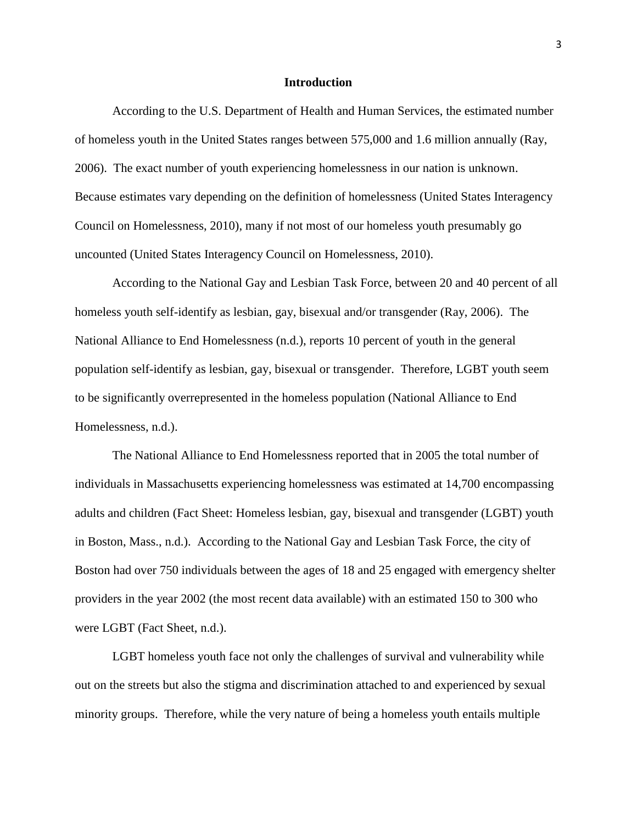#### **Introduction**

According to the U.S. Department of Health and Human Services, the estimated number of homeless youth in the United States ranges between 575,000 and 1.6 million annually (Ray, 2006). The exact number of youth experiencing homelessness in our nation is unknown. Because estimates vary depending on the definition of homelessness (United States Interagency Council on Homelessness, 2010), many if not most of our homeless youth presumably go uncounted (United States Interagency Council on Homelessness, 2010).

According to the National Gay and Lesbian Task Force, between 20 and 40 percent of all homeless youth self-identify as lesbian, gay, bisexual and/or transgender (Ray, 2006). The National Alliance to End Homelessness (n.d.), reports 10 percent of youth in the general population self-identify as lesbian, gay, bisexual or transgender. Therefore, LGBT youth seem to be significantly overrepresented in the homeless population (National Alliance to End Homelessness, n.d.).

The National Alliance to End Homelessness reported that in 2005 the total number of individuals in Massachusetts experiencing homelessness was estimated at 14,700 encompassing adults and children (Fact Sheet: Homeless lesbian, gay, bisexual and transgender (LGBT) youth in Boston, Mass., n.d.). According to the National Gay and Lesbian Task Force, the city of Boston had over 750 individuals between the ages of 18 and 25 engaged with emergency shelter providers in the year 2002 (the most recent data available) with an estimated 150 to 300 who were LGBT (Fact Sheet, n.d.).

LGBT homeless youth face not only the challenges of survival and vulnerability while out on the streets but also the stigma and discrimination attached to and experienced by sexual minority groups. Therefore, while the very nature of being a homeless youth entails multiple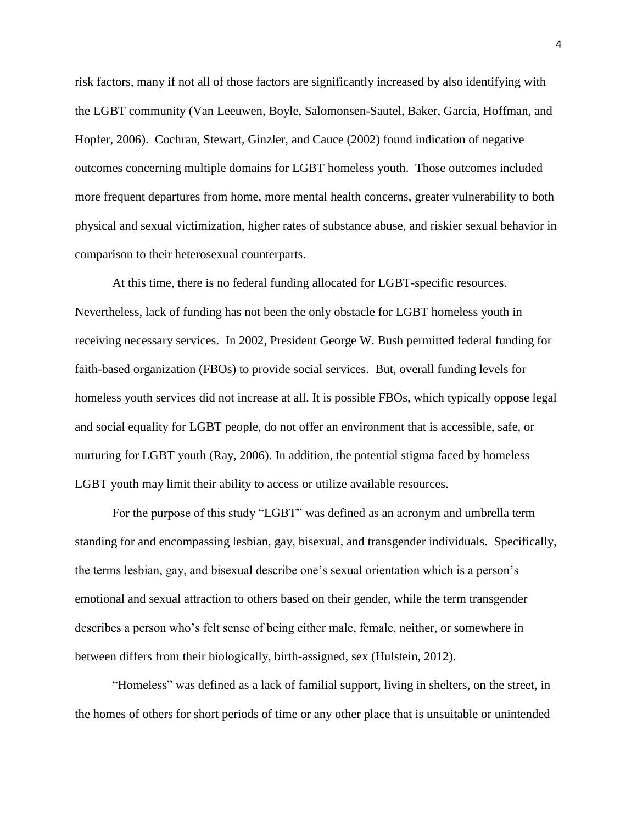risk factors, many if not all of those factors are significantly increased by also identifying with the LGBT community (Van Leeuwen, Boyle, Salomonsen-Sautel, Baker, Garcia, Hoffman, and Hopfer, 2006). Cochran, Stewart, Ginzler, and Cauce (2002) found indication of negative outcomes concerning multiple domains for LGBT homeless youth. Those outcomes included more frequent departures from home, more mental health concerns, greater vulnerability to both physical and sexual victimization, higher rates of substance abuse, and riskier sexual behavior in comparison to their heterosexual counterparts.

At this time, there is no federal funding allocated for LGBT-specific resources. Nevertheless, lack of funding has not been the only obstacle for LGBT homeless youth in receiving necessary services. In 2002, President George W. Bush permitted federal funding for faith-based organization (FBOs) to provide social services. But, overall funding levels for homeless youth services did not increase at all. It is possible FBOs, which typically oppose legal and social equality for LGBT people, do not offer an environment that is accessible, safe, or nurturing for LGBT youth (Ray, 2006). In addition, the potential stigma faced by homeless LGBT youth may limit their ability to access or utilize available resources.

For the purpose of this study "LGBT" was defined as an acronym and umbrella term standing for and encompassing lesbian, gay, bisexual, and transgender individuals. Specifically, the terms lesbian, gay, and bisexual describe one's sexual orientation which is a person's emotional and sexual attraction to others based on their gender, while the term transgender describes a person who's felt sense of being either male, female, neither, or somewhere in between differs from their biologically, birth-assigned, sex (Hulstein, 2012).

"Homeless" was defined as a lack of familial support, living in shelters, on the street, in the homes of others for short periods of time or any other place that is unsuitable or unintended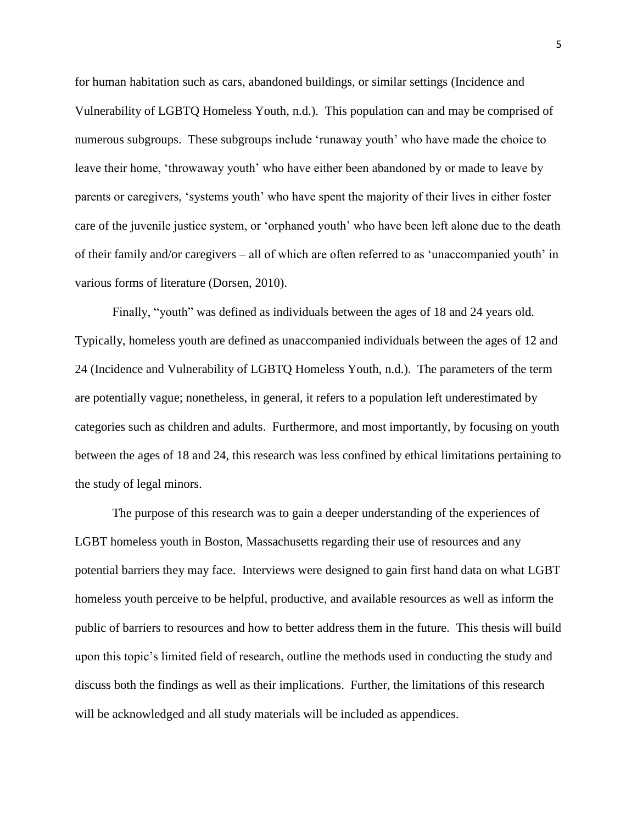for human habitation such as cars, abandoned buildings, or similar settings (Incidence and Vulnerability of LGBTQ Homeless Youth, n.d.). This population can and may be comprised of numerous subgroups. These subgroups include 'runaway youth' who have made the choice to leave their home, 'throwaway youth' who have either been abandoned by or made to leave by parents or caregivers, 'systems youth' who have spent the majority of their lives in either foster care of the juvenile justice system, or 'orphaned youth' who have been left alone due to the death of their family and/or caregivers – all of which are often referred to as 'unaccompanied youth' in various forms of literature (Dorsen, 2010).

Finally, "youth" was defined as individuals between the ages of 18 and 24 years old. Typically, homeless youth are defined as unaccompanied individuals between the ages of 12 and 24 (Incidence and Vulnerability of LGBTQ Homeless Youth, n.d.). The parameters of the term are potentially vague; nonetheless, in general, it refers to a population left underestimated by categories such as children and adults. Furthermore, and most importantly, by focusing on youth between the ages of 18 and 24, this research was less confined by ethical limitations pertaining to the study of legal minors.

The purpose of this research was to gain a deeper understanding of the experiences of LGBT homeless youth in Boston, Massachusetts regarding their use of resources and any potential barriers they may face. Interviews were designed to gain first hand data on what LGBT homeless youth perceive to be helpful, productive, and available resources as well as inform the public of barriers to resources and how to better address them in the future. This thesis will build upon this topic's limited field of research, outline the methods used in conducting the study and discuss both the findings as well as their implications. Further, the limitations of this research will be acknowledged and all study materials will be included as appendices.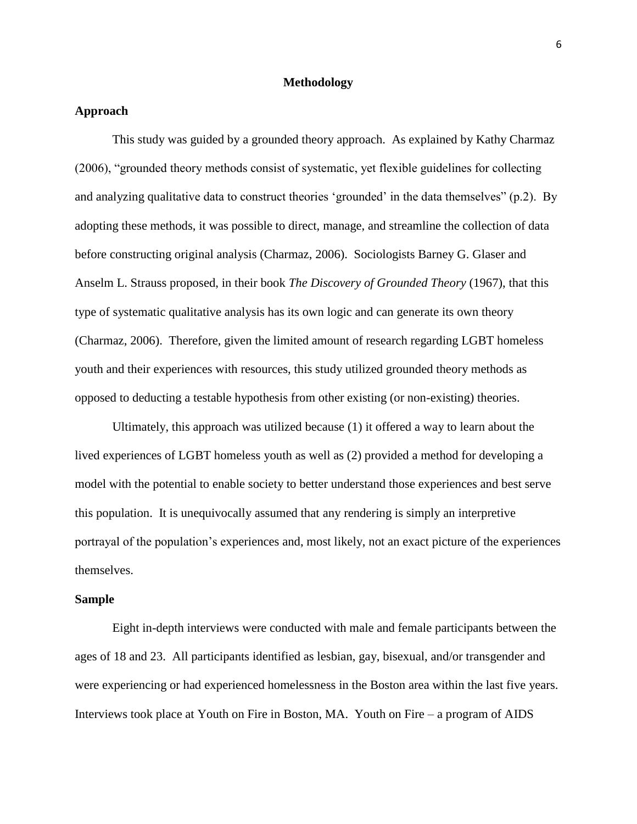#### **Methodology**

#### **Approach**

This study was guided by a grounded theory approach. As explained by Kathy Charmaz (2006), "grounded theory methods consist of systematic, yet flexible guidelines for collecting and analyzing qualitative data to construct theories 'grounded' in the data themselves" (p.2). By adopting these methods, it was possible to direct, manage, and streamline the collection of data before constructing original analysis (Charmaz, 2006). Sociologists Barney G. Glaser and Anselm L. Strauss proposed, in their book *The Discovery of Grounded Theory* (1967), that this type of systematic qualitative analysis has its own logic and can generate its own theory (Charmaz, 2006). Therefore, given the limited amount of research regarding LGBT homeless youth and their experiences with resources, this study utilized grounded theory methods as opposed to deducting a testable hypothesis from other existing (or non-existing) theories.

Ultimately, this approach was utilized because (1) it offered a way to learn about the lived experiences of LGBT homeless youth as well as (2) provided a method for developing a model with the potential to enable society to better understand those experiences and best serve this population. It is unequivocally assumed that any rendering is simply an interpretive portrayal of the population's experiences and, most likely, not an exact picture of the experiences themselves.

#### **Sample**

Eight in-depth interviews were conducted with male and female participants between the ages of 18 and 23. All participants identified as lesbian, gay, bisexual, and/or transgender and were experiencing or had experienced homelessness in the Boston area within the last five years. Interviews took place at Youth on Fire in Boston, MA. Youth on Fire – a program of AIDS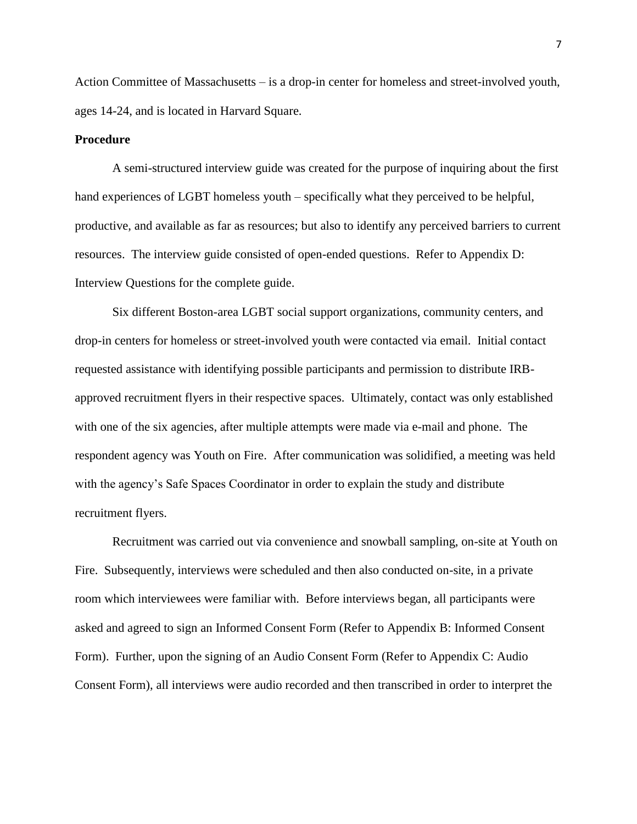Action Committee of Massachusetts – is a drop-in center for homeless and street-involved youth, ages 14-24, and is located in Harvard Square.

#### **Procedure**

A semi-structured interview guide was created for the purpose of inquiring about the first hand experiences of LGBT homeless youth – specifically what they perceived to be helpful, productive, and available as far as resources; but also to identify any perceived barriers to current resources. The interview guide consisted of open-ended questions. Refer to Appendix D: Interview Questions for the complete guide.

Six different Boston-area LGBT social support organizations, community centers, and drop-in centers for homeless or street-involved youth were contacted via email. Initial contact requested assistance with identifying possible participants and permission to distribute IRBapproved recruitment flyers in their respective spaces. Ultimately, contact was only established with one of the six agencies, after multiple attempts were made via e-mail and phone. The respondent agency was Youth on Fire. After communication was solidified, a meeting was held with the agency's Safe Spaces Coordinator in order to explain the study and distribute recruitment flyers.

Recruitment was carried out via convenience and snowball sampling, on-site at Youth on Fire. Subsequently, interviews were scheduled and then also conducted on-site, in a private room which interviewees were familiar with. Before interviews began, all participants were asked and agreed to sign an Informed Consent Form (Refer to Appendix B: Informed Consent Form). Further, upon the signing of an Audio Consent Form (Refer to Appendix C: Audio Consent Form), all interviews were audio recorded and then transcribed in order to interpret the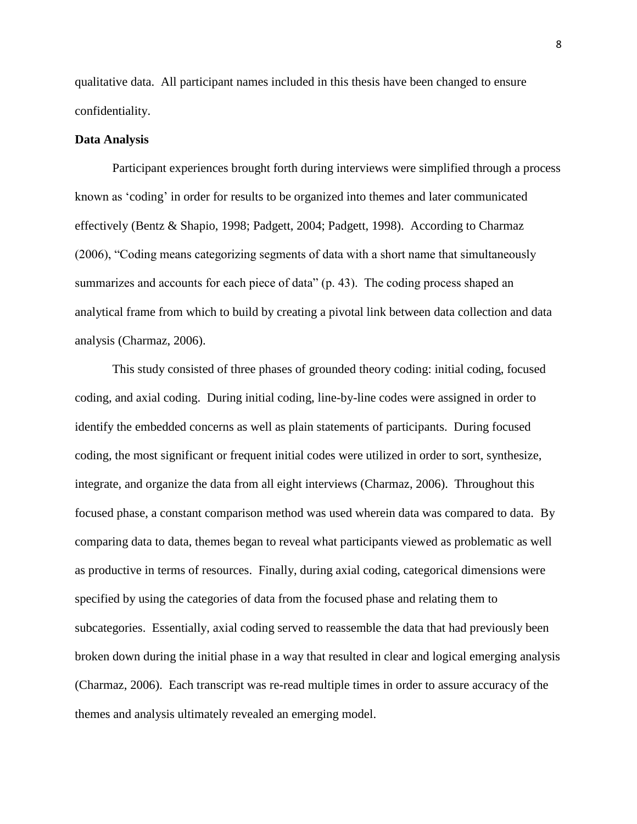qualitative data. All participant names included in this thesis have been changed to ensure confidentiality.

#### **Data Analysis**

Participant experiences brought forth during interviews were simplified through a process known as 'coding' in order for results to be organized into themes and later communicated effectively (Bentz & Shapio, 1998; Padgett, 2004; Padgett, 1998). According to Charmaz (2006), "Coding means categorizing segments of data with a short name that simultaneously summarizes and accounts for each piece of data" (p. 43). The coding process shaped an analytical frame from which to build by creating a pivotal link between data collection and data analysis (Charmaz, 2006).

This study consisted of three phases of grounded theory coding: initial coding, focused coding, and axial coding. During initial coding, line-by-line codes were assigned in order to identify the embedded concerns as well as plain statements of participants. During focused coding, the most significant or frequent initial codes were utilized in order to sort, synthesize, integrate, and organize the data from all eight interviews (Charmaz, 2006). Throughout this focused phase, a constant comparison method was used wherein data was compared to data. By comparing data to data, themes began to reveal what participants viewed as problematic as well as productive in terms of resources. Finally, during axial coding, categorical dimensions were specified by using the categories of data from the focused phase and relating them to subcategories. Essentially, axial coding served to reassemble the data that had previously been broken down during the initial phase in a way that resulted in clear and logical emerging analysis (Charmaz, 2006). Each transcript was re-read multiple times in order to assure accuracy of the themes and analysis ultimately revealed an emerging model.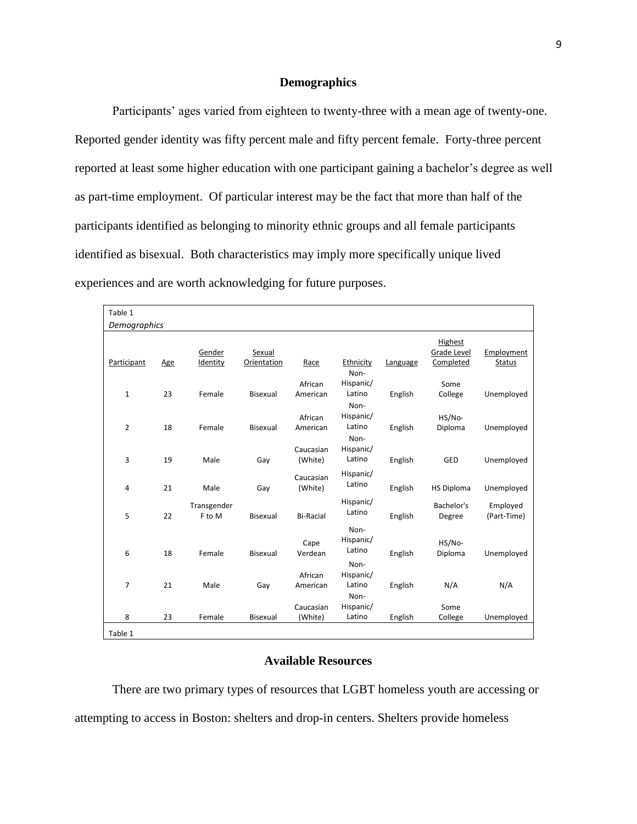#### **Demographics**

Participants' ages varied from eighteen to twenty-three with a mean age of twenty-one. Reported gender identity was fifty percent male and fifty percent female. Forty-three percent reported at least some higher education with one participant gaining a bachelor's degree as well as part-time employment. Of particular interest may be the fact that more than half of the participants identified as belonging to minority ethnic groups and all female participants identified as bisexual. Both characteristics may imply more specifically unique lived experiences and are worth acknowledging for future purposes.

| Table 1        |     |                       |             |                      |                             |          |                        |                         |  |
|----------------|-----|-----------------------|-------------|----------------------|-----------------------------|----------|------------------------|-------------------------|--|
| Demographics   |     |                       |             |                      |                             |          |                        |                         |  |
|                |     | Gender                | Sexual      |                      |                             |          | Highest<br>Grade Level | Employment              |  |
| Participant    | Age | Identity              | Orientation | Race                 | Ethnicity<br>Non-           | Language | Completed              | <b>Status</b>           |  |
| $\mathbf{1}$   | 23  | Female                | Bisexual    | African<br>American  | Hispanic/<br>Latino<br>Non- | English  | Some<br>College        | Unemployed              |  |
| $\overline{2}$ | 18  | Female                | Bisexual    | African<br>American  | Hispanic/<br>Latino<br>Non- | English  | HS/No-<br>Diploma      | Unemployed              |  |
| 3              | 19  | Male                  | Gay         | Caucasian<br>(White) | Hispanic/<br>Latino         | English  | GED                    | Unemployed              |  |
| 4              | 21  | Male                  | Gay         | Caucasian<br>(White) | Hispanic/<br>Latino         | English  | <b>HS Diploma</b>      | Unemployed              |  |
| 5              | 22  | Transgender<br>F to M | Bisexual    | <b>Bi-Racial</b>     | Hispanic/<br>Latino         | English  | Bachelor's<br>Degree   | Employed<br>(Part-Time) |  |
| 6              | 18  | Female                | Bisexual    | Cape<br>Verdean      | Non-<br>Hispanic/<br>Latino | English  | HS/No-<br>Diploma      | Unemployed              |  |
| 7              | 21  | Male                  | Gay         | African<br>American  | Non-<br>Hispanic/<br>Latino | English  | N/A                    | N/A                     |  |
| 8              | 23  | Female                | Bisexual    | Caucasian<br>(White) | Non-<br>Hispanic/<br>Latino | English  | Some<br>College        | Unemployed              |  |
| Table 1        |     |                       |             |                      |                             |          |                        |                         |  |

#### **Available Resources**

There are two primary types of resources that LGBT homeless youth are accessing or attempting to access in Boston: shelters and drop-in centers. Shelters provide homeless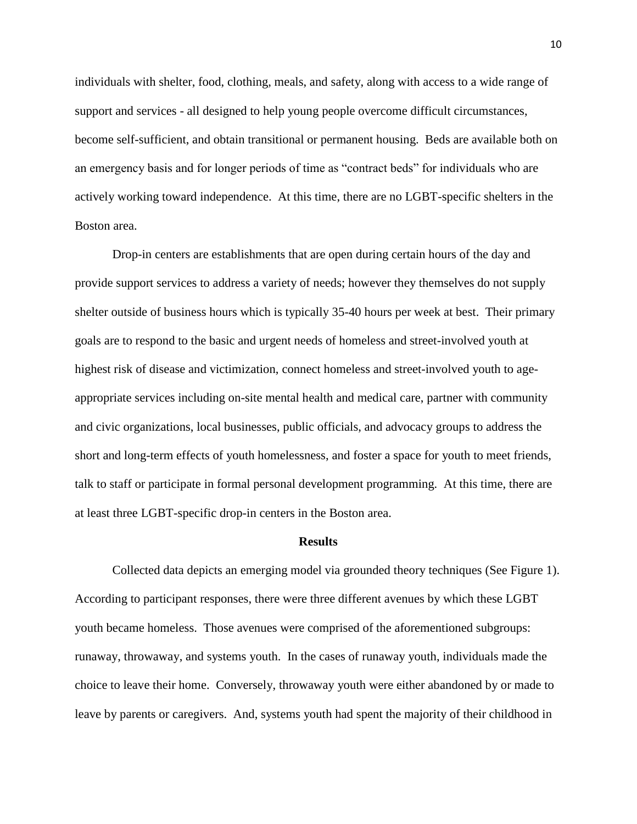individuals with shelter, food, clothing, meals, and safety, along with access to a wide range of support and services - all designed to help young people overcome difficult circumstances, become self-sufficient, and obtain transitional or permanent housing. Beds are available both on an emergency basis and for longer periods of time as "contract beds" for individuals who are actively working toward independence. At this time, there are no LGBT-specific shelters in the Boston area.

Drop-in centers are establishments that are open during certain hours of the day and provide support services to address a variety of needs; however they themselves do not supply shelter outside of business hours which is typically 35-40 hours per week at best. Their primary goals are to respond to the basic and urgent needs of homeless and street-involved youth at highest risk of disease and victimization, connect homeless and street-involved youth to ageappropriate services including on-site mental health and medical care, partner with community and civic organizations, local businesses, public officials, and advocacy groups to address the short and long-term effects of youth homelessness, and foster a space for youth to meet friends, talk to staff or participate in formal personal development programming. At this time, there are at least three LGBT-specific drop-in centers in the Boston area.

#### **Results**

Collected data depicts an emerging model via grounded theory techniques (See Figure 1). According to participant responses, there were three different avenues by which these LGBT youth became homeless. Those avenues were comprised of the aforementioned subgroups: runaway, throwaway, and systems youth. In the cases of runaway youth, individuals made the choice to leave their home. Conversely, throwaway youth were either abandoned by or made to leave by parents or caregivers. And, systems youth had spent the majority of their childhood in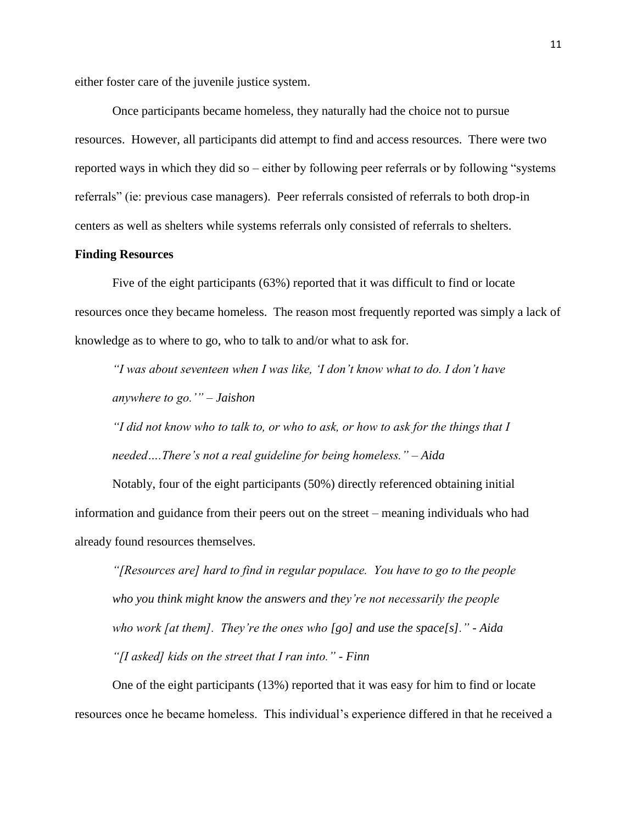either foster care of the juvenile justice system.

Once participants became homeless, they naturally had the choice not to pursue resources. However, all participants did attempt to find and access resources. There were two reported ways in which they did so – either by following peer referrals or by following "systems referrals" (ie: previous case managers). Peer referrals consisted of referrals to both drop-in centers as well as shelters while systems referrals only consisted of referrals to shelters.

#### **Finding Resources**

Five of the eight participants (63%) reported that it was difficult to find or locate resources once they became homeless. The reason most frequently reported was simply a lack of knowledge as to where to go, who to talk to and/or what to ask for.

*"I was about seventeen when I was like, 'I don't know what to do. I don't have anywhere to go.'" – Jaishon*

*"I did not know who to talk to, or who to ask, or how to ask for the things that I needed….There's not a real guideline for being homeless." – Aida*

Notably, four of the eight participants (50%) directly referenced obtaining initial information and guidance from their peers out on the street – meaning individuals who had already found resources themselves.

*"[Resources are] hard to find in regular populace. You have to go to the people who you think might know the answers and they're not necessarily the people who work [at them]. They're the ones who [go] and use the space[s]." - Aida "[I asked] kids on the street that I ran into." - Finn*

One of the eight participants (13%) reported that it was easy for him to find or locate resources once he became homeless. This individual's experience differed in that he received a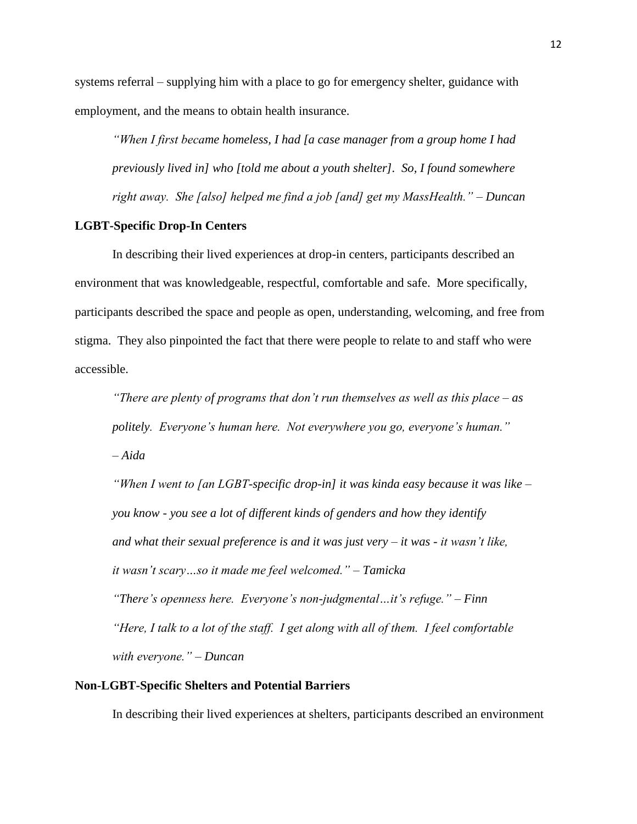systems referral – supplying him with a place to go for emergency shelter, guidance with employment, and the means to obtain health insurance.

*"When I first became homeless, I had [a case manager from a group home I had previously lived in] who [told me about a youth shelter]. So, I found somewhere right away. She [also] helped me find a job [and] get my MassHealth." – Duncan*

#### **LGBT-Specific Drop-In Centers**

In describing their lived experiences at drop-in centers, participants described an environment that was knowledgeable, respectful, comfortable and safe. More specifically, participants described the space and people as open, understanding, welcoming, and free from stigma. They also pinpointed the fact that there were people to relate to and staff who were accessible.

*"There are plenty of programs that don't run themselves as well as this place – as politely. Everyone's human here. Not everywhere you go, everyone's human." – Aida* 

*"When I went to [an LGBT-specific drop-in] it was kinda easy because it was like – you know - you see a lot of different kinds of genders and how they identify and what their sexual preference is and it was just very – it was - it wasn't like, it wasn't scary…so it made me feel welcomed." – Tamicka "There's openness here. Everyone's non-judgmental…it's refuge." – Finn "Here, I talk to a lot of the staff. I get along with all of them. I feel comfortable with everyone." – Duncan* 

#### **Non-LGBT-Specific Shelters and Potential Barriers**

In describing their lived experiences at shelters, participants described an environment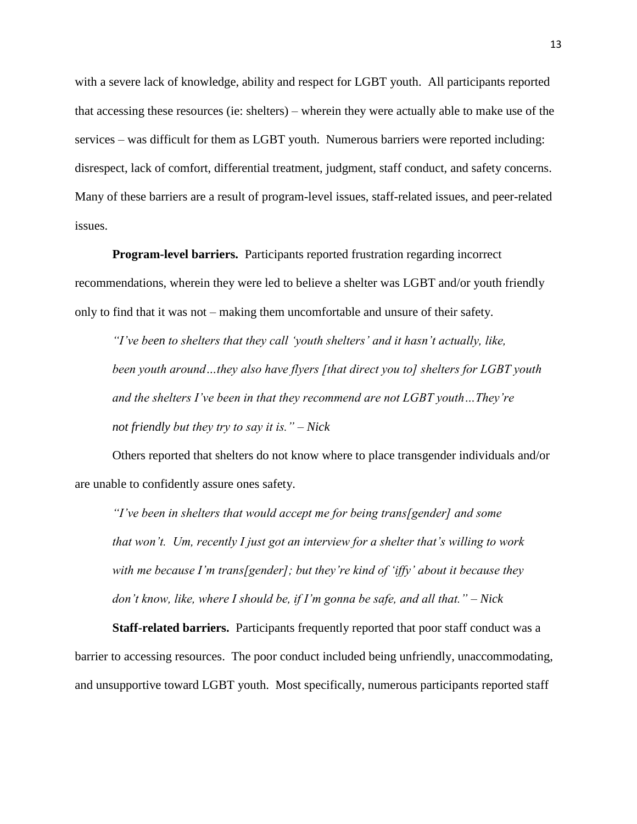with a severe lack of knowledge, ability and respect for LGBT youth. All participants reported that accessing these resources (ie: shelters) – wherein they were actually able to make use of the services – was difficult for them as LGBT youth. Numerous barriers were reported including: disrespect, lack of comfort, differential treatment, judgment, staff conduct, and safety concerns. Many of these barriers are a result of program-level issues, staff-related issues, and peer-related issues.

**Program-level barriers.** Participants reported frustration regarding incorrect recommendations, wherein they were led to believe a shelter was LGBT and/or youth friendly only to find that it was not – making them uncomfortable and unsure of their safety.

*"I've been to shelters that they call 'youth shelters' and it hasn't actually, like, been youth around…they also have flyers [that direct you to] shelters for LGBT youth and the shelters I've been in that they recommend are not LGBT youth…They're not friendly but they try to say it is." – Nick*

Others reported that shelters do not know where to place transgender individuals and/or are unable to confidently assure ones safety.

*"I've been in shelters that would accept me for being trans[gender] and some that won't. Um, recently I just got an interview for a shelter that's willing to work with me because I'm trans[gender]; but they're kind of 'iffy' about it because they don't know, like, where I should be, if I'm gonna be safe, and all that." – Nick* 

**Staff-related barriers.** Participants frequently reported that poor staff conduct was a barrier to accessing resources. The poor conduct included being unfriendly, unaccommodating, and unsupportive toward LGBT youth. Most specifically, numerous participants reported staff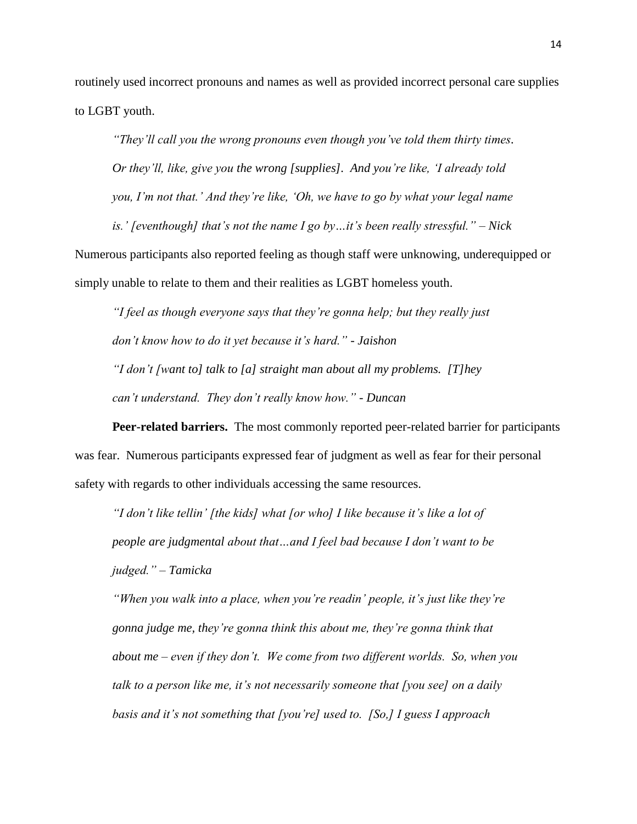routinely used incorrect pronouns and names as well as provided incorrect personal care supplies to LGBT youth.

*"They'll call you the wrong pronouns even though you've told them thirty times. Or they'll, like, give you the wrong [supplies]. And you're like, 'I already told you, I'm not that.' And they're like, 'Oh, we have to go by what your legal name* 

*is.' [eventhough] that's not the name I go by…it's been really stressful." – Nick* Numerous participants also reported feeling as though staff were unknowing, underequipped or simply unable to relate to them and their realities as LGBT homeless youth.

*"I feel as though everyone says that they're gonna help; but they really just don't know how to do it yet because it's hard." - Jaishon "I don't [want to] talk to [a] straight man about all my problems. [T]hey can't understand. They don't really know how." - Duncan*

**Peer-related barriers.** The most commonly reported peer-related barrier for participants was fear. Numerous participants expressed fear of judgment as well as fear for their personal safety with regards to other individuals accessing the same resources.

*"I don't like tellin' [the kids] what [or who] I like because it's like a lot of people are judgmental about that…and I feel bad because I don't want to be judged." – Tamicka*

*"When you walk into a place, when you're readin' people, it's just like they're gonna judge me, they're gonna think this about me, they're gonna think that about me – even if they don't. We come from two different worlds. So, when you talk to a person like me, it's not necessarily someone that [you see] on a daily basis and it's not something that [you're] used to. [So,] I guess I approach*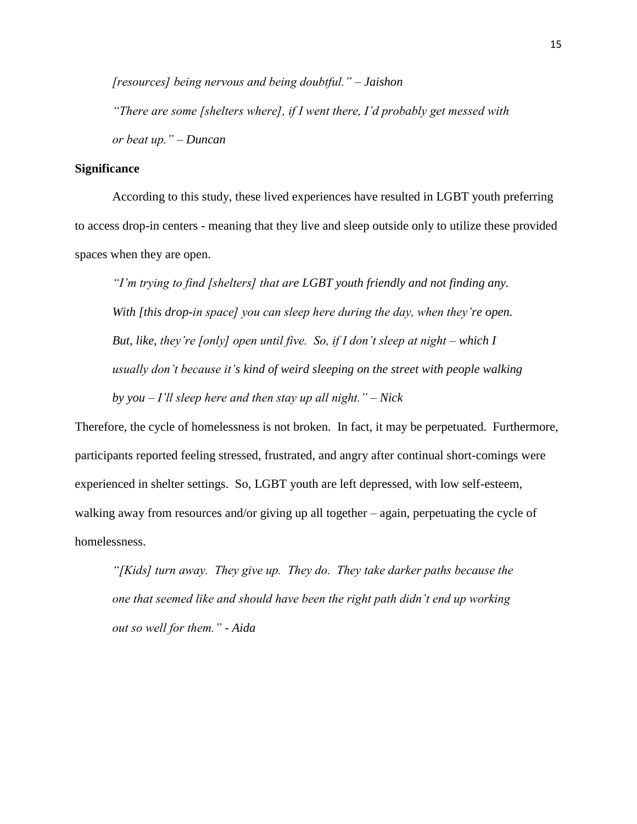*[resources] being nervous and being doubtful." – Jaishon* 

*"There are some [shelters where], if I went there, I'd probably get messed with or beat up." – Duncan*

#### **Significance**

According to this study, these lived experiences have resulted in LGBT youth preferring to access drop-in centers - meaning that they live and sleep outside only to utilize these provided spaces when they are open.

*"I'm trying to find [shelters] that are LGBT youth friendly and not finding any. With [this drop-in space] you can sleep here during the day, when they're open. But, like, they're [only] open until five. So, if I don't sleep at night – which I usually don't because it's kind of weird sleeping on the street with people walking by you – I'll sleep here and then stay up all night." – Nick* 

Therefore, the cycle of homelessness is not broken. In fact, it may be perpetuated. Furthermore, participants reported feeling stressed, frustrated, and angry after continual short-comings were experienced in shelter settings. So, LGBT youth are left depressed, with low self-esteem, walking away from resources and/or giving up all together – again, perpetuating the cycle of homelessness.

*"[Kids] turn away. They give up. They do. They take darker paths because the one that seemed like and should have been the right path didn't end up working out so well for them." - Aida*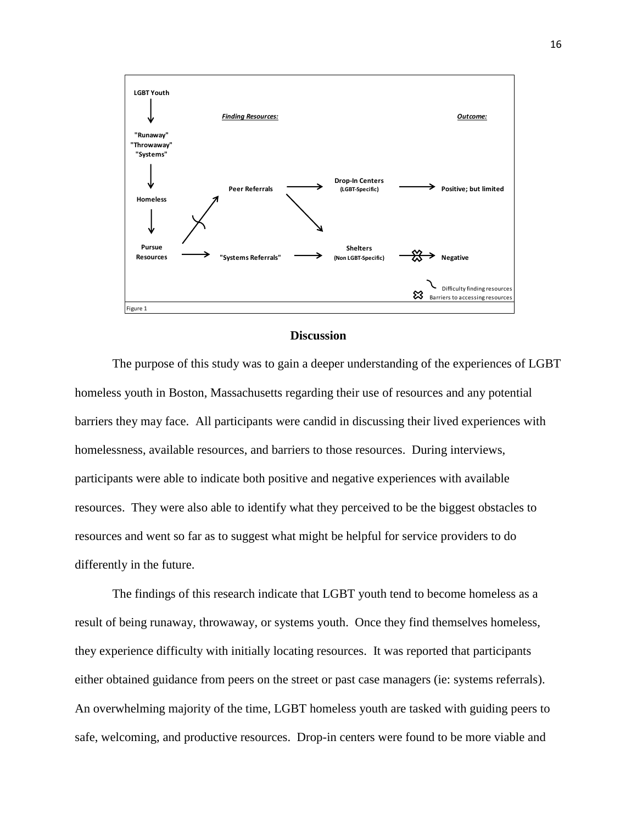

#### **Discussion**

The purpose of this study was to gain a deeper understanding of the experiences of LGBT homeless youth in Boston, Massachusetts regarding their use of resources and any potential barriers they may face. All participants were candid in discussing their lived experiences with homelessness, available resources, and barriers to those resources. During interviews, participants were able to indicate both positive and negative experiences with available resources. They were also able to identify what they perceived to be the biggest obstacles to resources and went so far as to suggest what might be helpful for service providers to do differently in the future.

The findings of this research indicate that LGBT youth tend to become homeless as a result of being runaway, throwaway, or systems youth. Once they find themselves homeless, they experience difficulty with initially locating resources. It was reported that participants either obtained guidance from peers on the street or past case managers (ie: systems referrals). An overwhelming majority of the time, LGBT homeless youth are tasked with guiding peers to safe, welcoming, and productive resources. Drop-in centers were found to be more viable and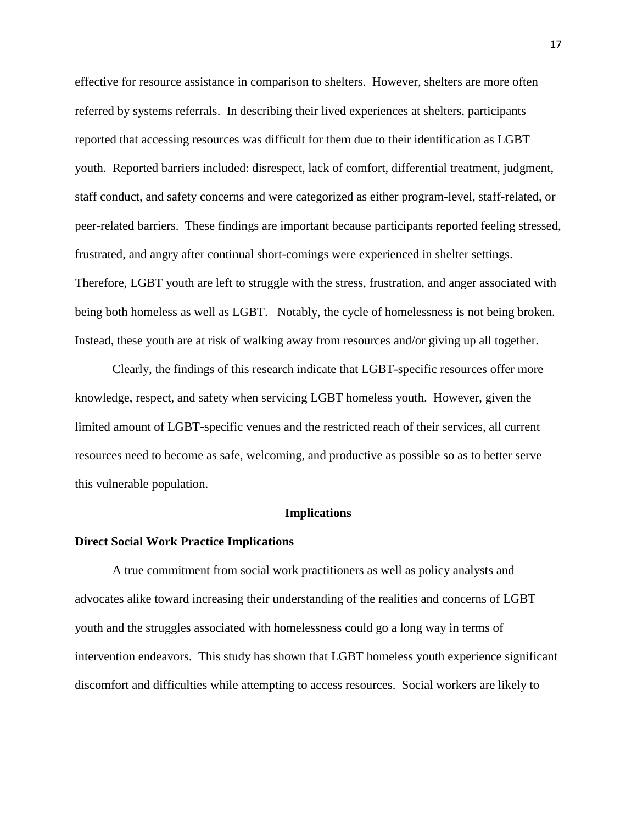effective for resource assistance in comparison to shelters. However, shelters are more often referred by systems referrals. In describing their lived experiences at shelters, participants reported that accessing resources was difficult for them due to their identification as LGBT youth. Reported barriers included: disrespect, lack of comfort, differential treatment, judgment, staff conduct, and safety concerns and were categorized as either program-level, staff-related, or peer-related barriers. These findings are important because participants reported feeling stressed, frustrated, and angry after continual short-comings were experienced in shelter settings. Therefore, LGBT youth are left to struggle with the stress, frustration, and anger associated with being both homeless as well as LGBT. Notably, the cycle of homelessness is not being broken. Instead, these youth are at risk of walking away from resources and/or giving up all together.

Clearly, the findings of this research indicate that LGBT-specific resources offer more knowledge, respect, and safety when servicing LGBT homeless youth. However, given the limited amount of LGBT-specific venues and the restricted reach of their services, all current resources need to become as safe, welcoming, and productive as possible so as to better serve this vulnerable population.

#### **Implications**

#### **Direct Social Work Practice Implications**

A true commitment from social work practitioners as well as policy analysts and advocates alike toward increasing their understanding of the realities and concerns of LGBT youth and the struggles associated with homelessness could go a long way in terms of intervention endeavors. This study has shown that LGBT homeless youth experience significant discomfort and difficulties while attempting to access resources. Social workers are likely to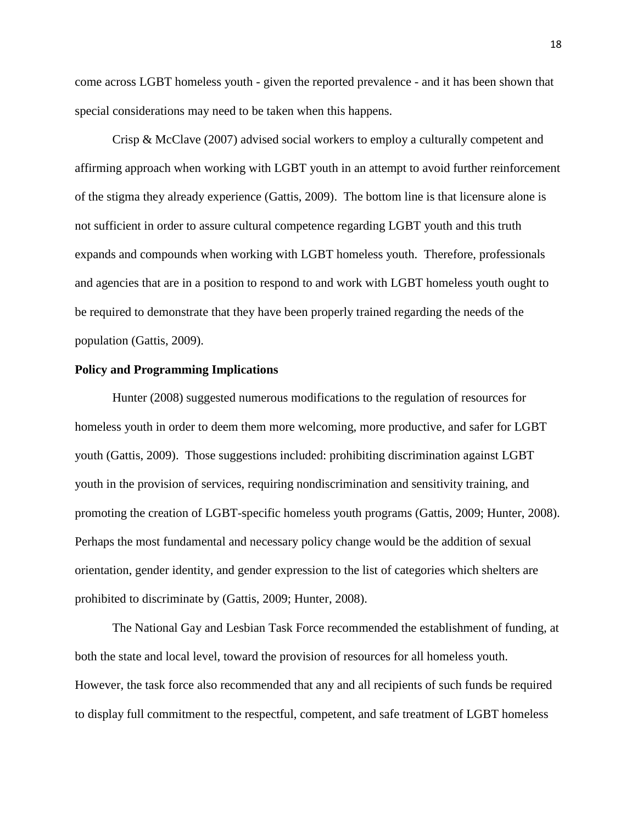come across LGBT homeless youth - given the reported prevalence - and it has been shown that special considerations may need to be taken when this happens.

Crisp & McClave (2007) advised social workers to employ a culturally competent and affirming approach when working with LGBT youth in an attempt to avoid further reinforcement of the stigma they already experience (Gattis, 2009). The bottom line is that licensure alone is not sufficient in order to assure cultural competence regarding LGBT youth and this truth expands and compounds when working with LGBT homeless youth. Therefore, professionals and agencies that are in a position to respond to and work with LGBT homeless youth ought to be required to demonstrate that they have been properly trained regarding the needs of the population (Gattis, 2009).

#### **Policy and Programming Implications**

Hunter (2008) suggested numerous modifications to the regulation of resources for homeless youth in order to deem them more welcoming, more productive, and safer for LGBT youth (Gattis, 2009). Those suggestions included: prohibiting discrimination against LGBT youth in the provision of services, requiring nondiscrimination and sensitivity training, and promoting the creation of LGBT-specific homeless youth programs (Gattis, 2009; Hunter, 2008). Perhaps the most fundamental and necessary policy change would be the addition of sexual orientation, gender identity, and gender expression to the list of categories which shelters are prohibited to discriminate by (Gattis, 2009; Hunter, 2008).

The National Gay and Lesbian Task Force recommended the establishment of funding, at both the state and local level, toward the provision of resources for all homeless youth. However, the task force also recommended that any and all recipients of such funds be required to display full commitment to the respectful, competent, and safe treatment of LGBT homeless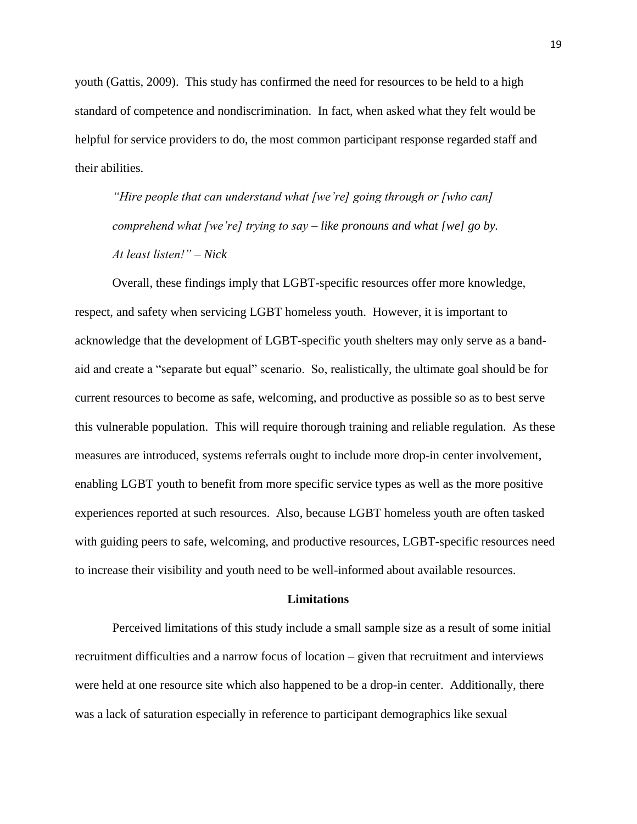youth (Gattis, 2009). This study has confirmed the need for resources to be held to a high standard of competence and nondiscrimination. In fact, when asked what they felt would be helpful for service providers to do, the most common participant response regarded staff and their abilities.

*"Hire people that can understand what [we're] going through or [who can] comprehend what [we're] trying to say – like pronouns and what [we] go by. At least listen!" – Nick* 

Overall, these findings imply that LGBT-specific resources offer more knowledge, respect, and safety when servicing LGBT homeless youth. However, it is important to acknowledge that the development of LGBT-specific youth shelters may only serve as a bandaid and create a "separate but equal" scenario. So, realistically, the ultimate goal should be for current resources to become as safe, welcoming, and productive as possible so as to best serve this vulnerable population. This will require thorough training and reliable regulation. As these measures are introduced, systems referrals ought to include more drop-in center involvement, enabling LGBT youth to benefit from more specific service types as well as the more positive experiences reported at such resources. Also, because LGBT homeless youth are often tasked with guiding peers to safe, welcoming, and productive resources, LGBT-specific resources need to increase their visibility and youth need to be well-informed about available resources.

#### **Limitations**

Perceived limitations of this study include a small sample size as a result of some initial recruitment difficulties and a narrow focus of location – given that recruitment and interviews were held at one resource site which also happened to be a drop-in center. Additionally, there was a lack of saturation especially in reference to participant demographics like sexual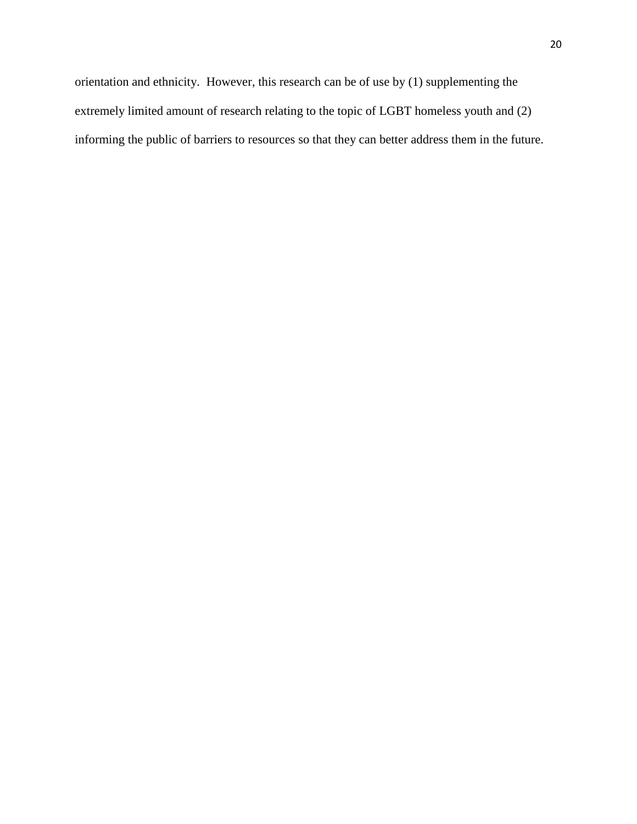orientation and ethnicity. However, this research can be of use by (1) supplementing the extremely limited amount of research relating to the topic of LGBT homeless youth and (2) informing the public of barriers to resources so that they can better address them in the future.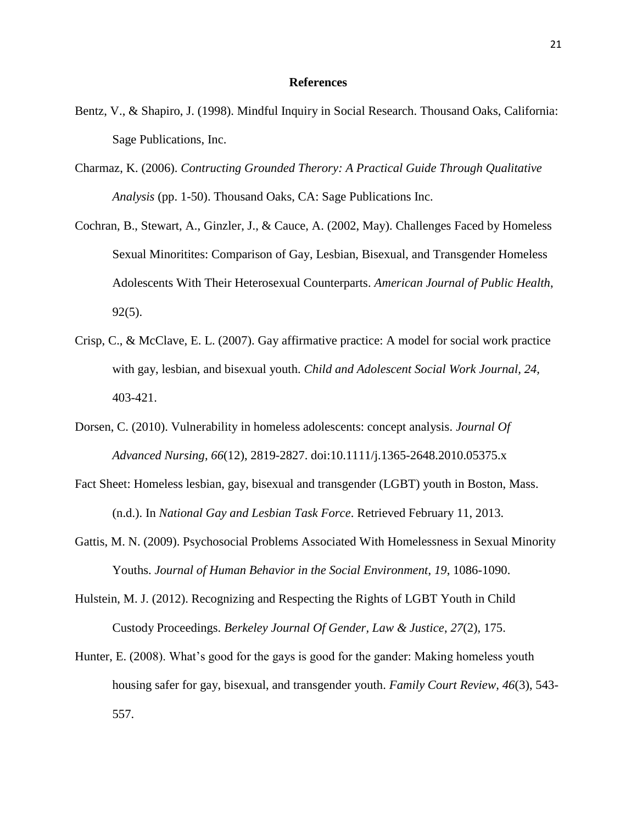#### **References**

- Bentz, V., & Shapiro, J. (1998). Mindful Inquiry in Social Research. Thousand Oaks, California: Sage Publications, Inc.
- Charmaz, K. (2006). *Contructing Grounded Therory: A Practical Guide Through Qualitative Analysis* (pp. 1-50). Thousand Oaks, CA: Sage Publications Inc.
- Cochran, B., Stewart, A., Ginzler, J., & Cauce, A. (2002, May). Challenges Faced by Homeless Sexual Minoritites: Comparison of Gay, Lesbian, Bisexual, and Transgender Homeless Adolescents With Their Heterosexual Counterparts. *American Journal of Public Health*, 92(5).
- Crisp, C., & McClave, E. L. (2007). Gay affirmative practice: A model for social work practice with gay, lesbian, and bisexual youth. *Child and Adolescent Social Work Journal, 24,*  403-421.
- Dorsen, C. (2010). Vulnerability in homeless adolescents: concept analysis. *Journal Of Advanced Nursing*, *66*(12), 2819-2827. doi:10.1111/j.1365-2648.2010.05375.x
- Fact Sheet: Homeless lesbian, gay, bisexual and transgender (LGBT) youth in Boston, Mass. (n.d.). In *National Gay and Lesbian Task Force*. Retrieved February 11, 2013.
- Gattis, M. N. (2009). Psychosocial Problems Associated With Homelessness in Sexual Minority Youths. *Journal of Human Behavior in the Social Environment*, *19*, 1086-1090.
- Hulstein, M. J. (2012). Recognizing and Respecting the Rights of LGBT Youth in Child Custody Proceedings. *Berkeley Journal Of Gender, Law & Justice*, *27*(2), 175.
- Hunter, E. (2008). What's good for the gays is good for the gander: Making homeless youth housing safer for gay, bisexual, and transgender youth. *Family Court Review, 46*(3), 543- 557.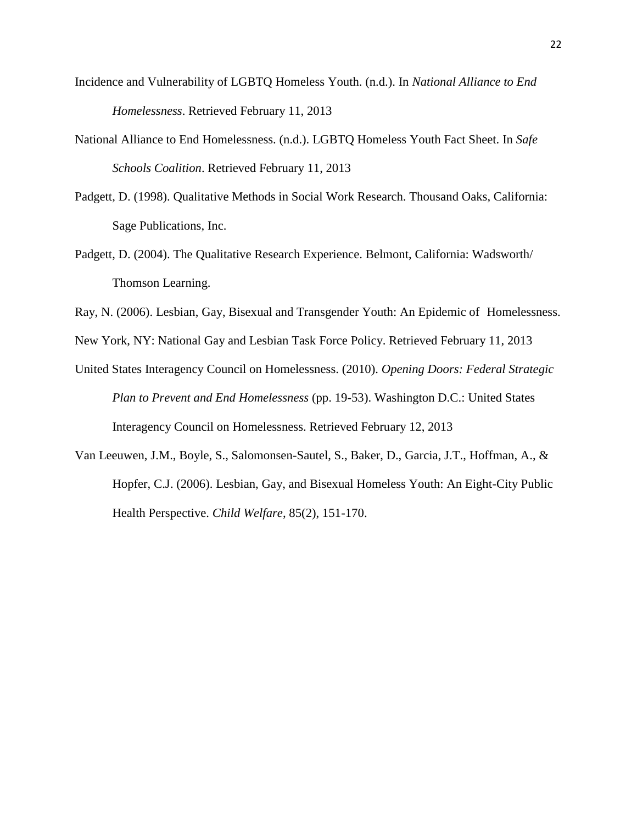- Incidence and Vulnerability of LGBTQ Homeless Youth. (n.d.). In *National Alliance to End Homelessness*. Retrieved February 11, 2013
- National Alliance to End Homelessness. (n.d.). LGBTQ Homeless Youth Fact Sheet. In *Safe Schools Coalition*. Retrieved February 11, 2013
- Padgett, D. (1998). Qualitative Methods in Social Work Research. Thousand Oaks, California: Sage Publications, Inc.
- Padgett, D. (2004). The Qualitative Research Experience. Belmont, California: Wadsworth/ Thomson Learning.
- Ray, N. (2006). Lesbian, Gay, Bisexual and Transgender Youth: An Epidemic of Homelessness.

New York, NY: National Gay and Lesbian Task Force Policy. Retrieved February 11, 2013

- United States Interagency Council on Homelessness. (2010). *Opening Doors: Federal Strategic Plan to Prevent and End Homelessness* (pp. 19-53). Washington D.C.: United States Interagency Council on Homelessness. Retrieved February 12, 2013
- Van Leeuwen, J.M., Boyle, S., Salomonsen-Sautel, S., Baker, D., Garcia, J.T., Hoffman, A., & Hopfer, C.J. (2006). Lesbian, Gay, and Bisexual Homeless Youth: An Eight-City Public Health Perspective. *Child Welfare*, 85(2), 151-170.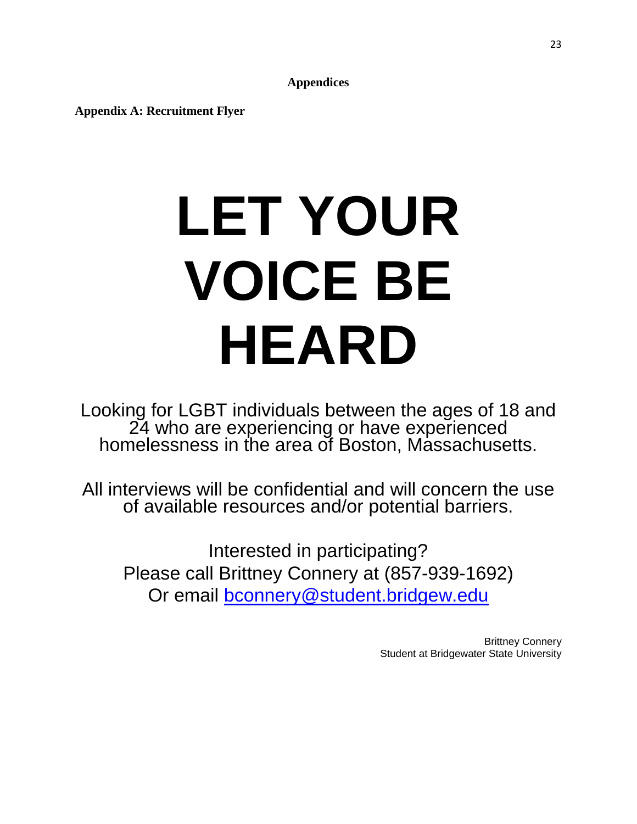**Appendices**

**Appendix A: Recruitment Flyer**

# **LET YOUR VOICE BE HEARD**

Looking for LGBT individuals between the ages of 18 and 24 who are experiencing or have experienced homelessness in the area of Boston, Massachusetts.

All interviews will be confidential and will concern the use of available resources and/or potential barriers.

Interested in participating? Please call Brittney Connery at (857-939-1692) Or email [bconnery@student.bridgew.edu](mailto:bconnery@student.bridgew.edu)

> Brittney Connery Student at Bridgewater State University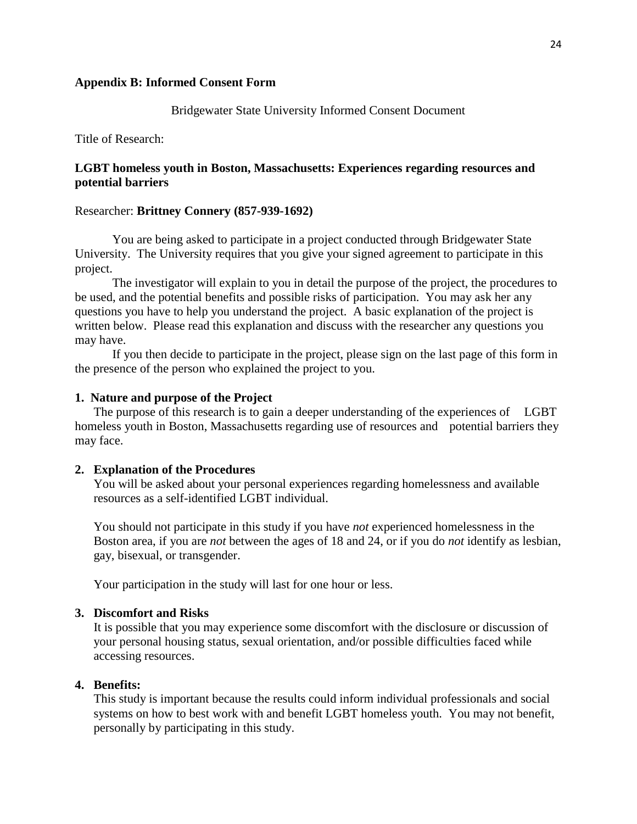#### **Appendix B: Informed Consent Form**

#### Bridgewater State University Informed Consent Document

Title of Research:

### **LGBT homeless youth in Boston, Massachusetts: Experiences regarding resources and potential barriers**

#### Researcher: **Brittney Connery (857-939-1692)**

You are being asked to participate in a project conducted through Bridgewater State University. The University requires that you give your signed agreement to participate in this project.

The investigator will explain to you in detail the purpose of the project, the procedures to be used, and the potential benefits and possible risks of participation. You may ask her any questions you have to help you understand the project. A basic explanation of the project is written below. Please read this explanation and discuss with the researcher any questions you may have.

If you then decide to participate in the project, please sign on the last page of this form in the presence of the person who explained the project to you.

#### **1. Nature and purpose of the Project**

The purpose of this research is to gain a deeper understanding of the experiences of LGBT homeless youth in Boston, Massachusetts regarding use of resources and potential barriers they may face.

#### **2. Explanation of the Procedures**

You will be asked about your personal experiences regarding homelessness and available resources as a self-identified LGBT individual.

You should not participate in this study if you have *not* experienced homelessness in the Boston area, if you are *not* between the ages of 18 and 24, or if you do *not* identify as lesbian, gay, bisexual, or transgender.

Your participation in the study will last for one hour or less.

#### **3. Discomfort and Risks**

It is possible that you may experience some discomfort with the disclosure or discussion of your personal housing status, sexual orientation, and/or possible difficulties faced while accessing resources.

#### **4. Benefits:**

This study is important because the results could inform individual professionals and social systems on how to best work with and benefit LGBT homeless youth. You may not benefit, personally by participating in this study.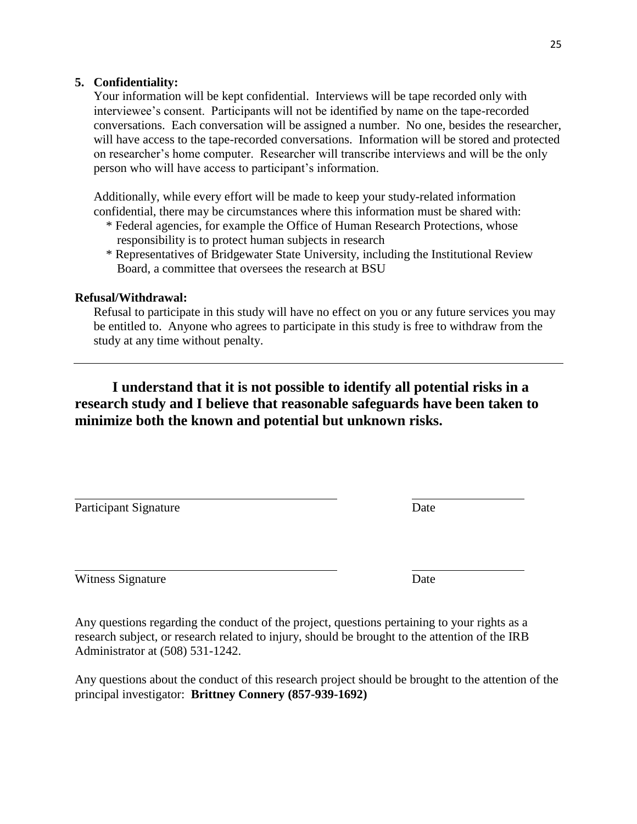# **5. Confidentiality:**

Your information will be kept confidential. Interviews will be tape recorded only with interviewee's consent. Participants will not be identified by name on the tape-recorded conversations. Each conversation will be assigned a number. No one, besides the researcher, will have access to the tape-recorded conversations. Information will be stored and protected on researcher's home computer. Researcher will transcribe interviews and will be the only person who will have access to participant's information.

Additionally, while every effort will be made to keep your study-related information confidential, there may be circumstances where this information must be shared with:

- \* Federal agencies, for example the Office of Human Research Protections, whose responsibility is to protect human subjects in research
- \* Representatives of Bridgewater State University, including the Institutional Review Board, a committee that oversees the research at BSU

# **Refusal/Withdrawal:**

Refusal to participate in this study will have no effect on you or any future services you may be entitled to. Anyone who agrees to participate in this study is free to withdraw from the study at any time without penalty.

**I understand that it is not possible to identify all potential risks in a research study and I believe that reasonable safeguards have been taken to minimize both the known and potential but unknown risks.**

Participant Signature Date

Witness Signature Date

Any questions regarding the conduct of the project, questions pertaining to your rights as a research subject, or research related to injury, should be brought to the attention of the IRB Administrator at (508) 531-1242.

Any questions about the conduct of this research project should be brought to the attention of the principal investigator: **Brittney Connery (857-939-1692)**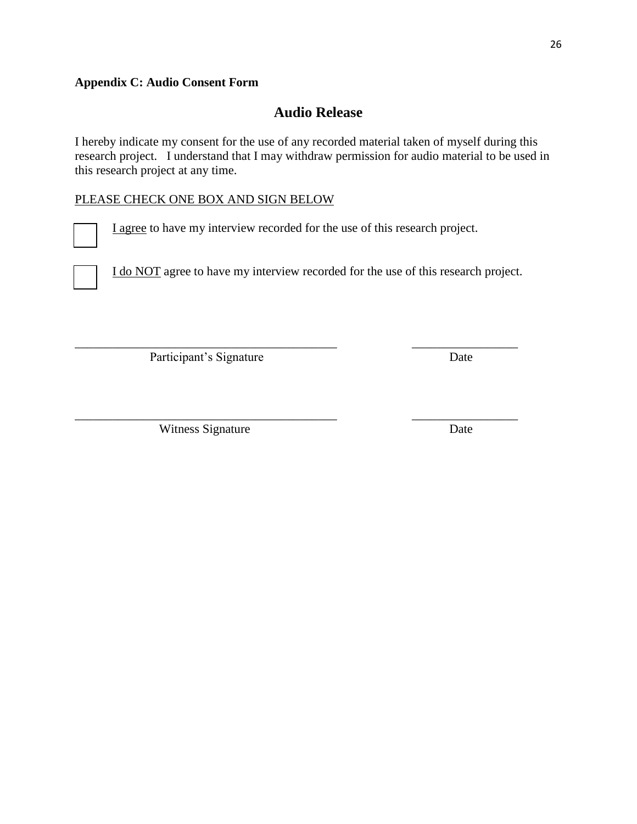# **Appendix C: Audio Consent Form**

# **Audio Release**

I hereby indicate my consent for the use of any recorded material taken of myself during this research project. I understand that I may withdraw permission for audio material to be used in this research project at any time.

# PLEASE CHECK ONE BOX AND SIGN BELOW

I agree to have my interview recorded for the use of this research project.

\_\_\_\_\_\_\_\_\_\_\_\_\_\_\_\_\_\_\_\_\_\_\_\_\_\_\_\_\_\_\_\_\_\_\_\_\_\_\_\_\_\_ \_\_\_\_\_\_\_\_\_\_\_\_\_\_\_\_\_

\_\_\_\_\_\_\_\_\_\_\_\_\_\_\_\_\_\_\_\_\_\_\_\_\_\_\_\_\_\_\_\_\_\_\_\_\_\_\_\_\_\_ \_\_\_\_\_\_\_\_\_\_\_\_\_\_\_\_\_

I do NOT agree to have my interview recorded for the use of this research project.

Participant's Signature Date

Witness Signature Date